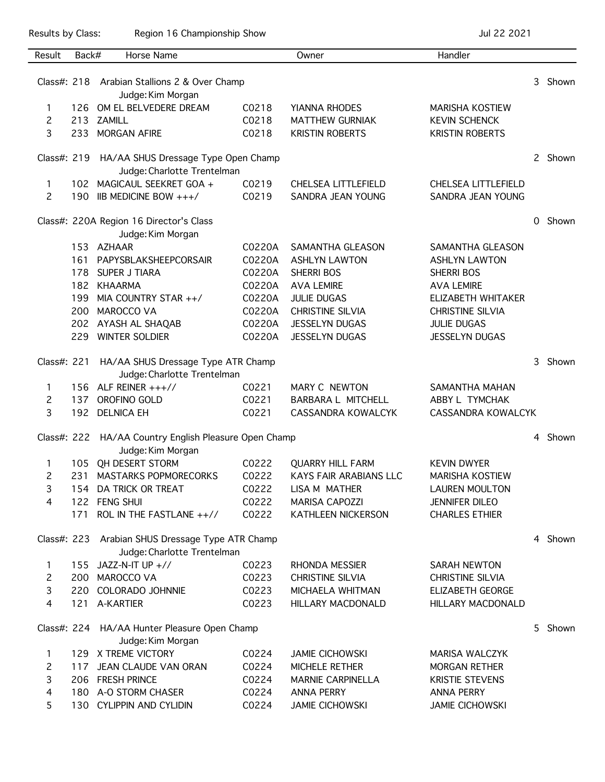Results by Class: Region 16 Championship Show Championship Show Jul 22 2021

| Result                                            | Back#                                                                           | Horse Name                                                                     |        | Owner                         | Handler                   |          |         |
|---------------------------------------------------|---------------------------------------------------------------------------------|--------------------------------------------------------------------------------|--------|-------------------------------|---------------------------|----------|---------|
|                                                   |                                                                                 | Class#: 218 Arabian Stallions 2 & Over Champ                                   |        |                               |                           |          | 3 Shown |
|                                                   |                                                                                 | Judge: Kim Morgan                                                              |        |                               |                           |          |         |
| 1                                                 | 126                                                                             | OM EL BELVEDERE DREAM                                                          | C0218  | YIANNA RHODES                 | <b>MARISHA KOSTIEW</b>    |          |         |
| 2                                                 |                                                                                 | 213 ZAMILL                                                                     | C0218  | <b>MATTHEW GURNIAK</b>        | <b>KEVIN SCHENCK</b>      |          |         |
| 3                                                 |                                                                                 | 233 MORGAN AFIRE                                                               | C0218  | <b>KRISTIN ROBERTS</b>        | <b>KRISTIN ROBERTS</b>    |          |         |
|                                                   |                                                                                 |                                                                                |        |                               |                           |          |         |
|                                                   |                                                                                 | Class#: 219 HA/AA SHUS Dressage Type Open Champ<br>Judge: Charlotte Trentelman |        |                               |                           |          | 2 Shown |
| 1                                                 |                                                                                 | 102 MAGICAUL SEEKRET GOA +                                                     | C0219  | CHELSEA LITTLEFIELD           | CHELSEA LITTLEFIELD       |          |         |
| $\overline{c}$                                    | 190                                                                             | IIB MEDICINE BOW +++/                                                          | C0219  | SANDRA JEAN YOUNG             | SANDRA JEAN YOUNG         |          |         |
|                                                   |                                                                                 |                                                                                |        |                               |                           |          |         |
|                                                   |                                                                                 | Class#: 220A Region 16 Director's Class<br>Judge: Kim Morgan                   |        |                               |                           | $\Omega$ | Shown   |
|                                                   |                                                                                 | 153 AZHAAR                                                                     | C0220A | SAMANTHA GLEASON              | SAMANTHA GLEASON          |          |         |
|                                                   | 161                                                                             | PAPYSBLAKSHEEPCORSAIR                                                          | C0220A | <b>ASHLYN LAWTON</b>          | <b>ASHLYN LAWTON</b>      |          |         |
|                                                   | 178                                                                             | SUPER J TIARA                                                                  | C0220A | SHERRI BOS                    | <b>SHERRI BOS</b>         |          |         |
|                                                   |                                                                                 | 182 KHAARMA                                                                    | C0220A | <b>AVA LEMIRE</b>             | <b>AVA LEMIRE</b>         |          |         |
|                                                   | 199                                                                             | MIA COUNTRY STAR $++/$                                                         | C0220A | <b>JULIE DUGAS</b>            | ELIZABETH WHITAKER        |          |         |
|                                                   | 200                                                                             | MAROCCO VA                                                                     | C0220A | CHRISTINE SILVIA              | <b>CHRISTINE SILVIA</b>   |          |         |
|                                                   |                                                                                 | 202 AYASH AL SHAQAB                                                            | C0220A | JESSELYN DUGAS                | <b>JULIE DUGAS</b>        |          |         |
|                                                   |                                                                                 | 229 WINTER SOLDIER                                                             | C0220A | <b>JESSELYN DUGAS</b>         | <b>JESSELYN DUGAS</b>     |          |         |
| HA/AA SHUS Dressage Type ATR Champ<br>Class#: 221 |                                                                                 |                                                                                |        |                               |                           | 3        | Shown   |
|                                                   |                                                                                 | Judge: Charlotte Trentelman                                                    |        |                               |                           |          |         |
| 1                                                 |                                                                                 | 156 ALF REINER $+++//$                                                         | C0221  | MARY C NEWTON                 | SAMANTHA MAHAN            |          |         |
| $\overline{c}$                                    | 137                                                                             | OROFINO GOLD                                                                   | C0221  | BARBARA L MITCHELL            | ABBY L TYMCHAK            |          |         |
| 3                                                 | 192                                                                             | <b>DELNICA EH</b>                                                              | C0221  | CASSANDRA KOWALCYK            | <b>CASSANDRA KOWALCYK</b> |          |         |
|                                                   |                                                                                 | Class#: 222 HA/AA Country English Pleasure Open Champ                          |        |                               |                           |          | 4 Shown |
|                                                   |                                                                                 | Judge: Kim Morgan                                                              |        |                               |                           |          |         |
| 1                                                 |                                                                                 | 105 QH DESERT STORM                                                            | C0222  | <b>QUARRY HILL FARM</b>       | <b>KEVIN DWYER</b>        |          |         |
| 2                                                 |                                                                                 | 231 MASTARKS POPMORECORKS                                                      | C0222  | <b>KAYS FAIR ARABIANS LLC</b> | <b>MARISHA KOSTIEW</b>    |          |         |
| 3                                                 |                                                                                 | 154 DA TRICK OR TREAT                                                          | C0222  | LISA M MATHER                 | <b>LAUREN MOULTON</b>     |          |         |
| 4                                                 |                                                                                 | 122 FENG SHUI                                                                  | C0222  | <b>MARISA CAPOZZI</b>         | <b>JENNIFER DILEO</b>     |          |         |
|                                                   | 171                                                                             | ROL IN THE FASTLANE ++//                                                       | C0222  | KATHLEEN NICKERSON            | <b>CHARLES ETHIER</b>     |          |         |
|                                                   | Class#: 223 Arabian SHUS Dressage Type ATR Champ<br>Judge: Charlotte Trentelman |                                                                                |        |                               |                           |          |         |
| 1                                                 | 155                                                                             | JAZZ-N-IT UP +//                                                               | C0223  | RHONDA MESSIER                | SARAH NEWTON              |          |         |
| $\mathsf{2}^{\mathsf{2}}$                         |                                                                                 | 200 MAROCCO VA                                                                 | C0223  | CHRISTINE SILVIA              | CHRISTINE SILVIA          |          |         |
| 3                                                 |                                                                                 | 220 COLORADO JOHNNIE                                                           | C0223  | MICHAELA WHITMAN              | <b>ELIZABETH GEORGE</b>   |          |         |
| 4                                                 |                                                                                 | 121 A-KARTIER                                                                  | C0223  | HILLARY MACDONALD             | HILLARY MACDONALD         |          |         |
|                                                   |                                                                                 | Class#: 224 HA/AA Hunter Pleasure Open Champ                                   |        |                               |                           |          | 5 Shown |
|                                                   |                                                                                 | Judge: Kim Morgan                                                              |        |                               |                           |          |         |
| 1                                                 |                                                                                 | 129 X TREME VICTORY                                                            | C0224  | <b>JAMIE CICHOWSKI</b>        | MARISA WALCZYK            |          |         |
| 2                                                 |                                                                                 | 117 JEAN CLAUDE VAN ORAN                                                       | C0224  | MICHELE RETHER                | <b>MORGAN RETHER</b>      |          |         |
| 3                                                 |                                                                                 | 206 FRESH PRINCE                                                               | C0224  | <b>MARNIE CARPINELLA</b>      | <b>KRISTIE STEVENS</b>    |          |         |
| 4                                                 |                                                                                 | 180 A-O STORM CHASER                                                           | C0224  | <b>ANNA PERRY</b>             | <b>ANNA PERRY</b>         |          |         |
| 5                                                 |                                                                                 | 130 CYLIPPIN AND CYLIDIN                                                       | C0224  | <b>JAMIE CICHOWSKI</b>        | <b>JAMIE CICHOWSKI</b>    |          |         |